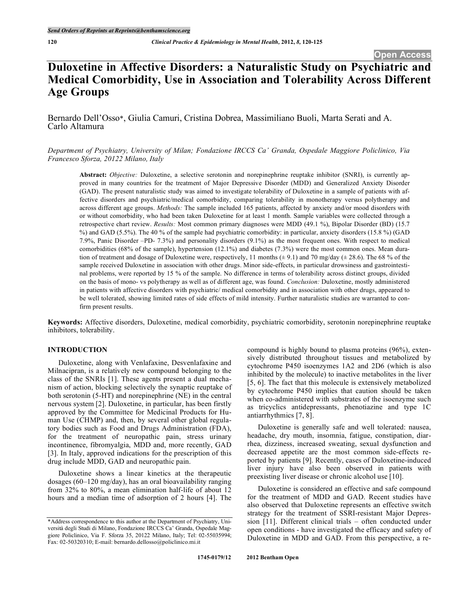# **Duloxetine in Affective Disorders: a Naturalistic Study on Psychiatric and Medical Comorbidity, Use in Association and Tolerability Across Different Age Groups**

Bernardo Dell'Osso\*, Giulia Camuri, Cristina Dobrea, Massimiliano Buoli, Marta Serati and A. Carlo Altamura

*Department of Psychiatry, University of Milan; Fondazione IRCCS Ca' Granda, Ospedale Maggiore Policlinico, Via Francesco Sforza, 20122 Milano, Italy*

**Abstract:** *Objective:* Duloxetine, a selective serotonin and norepinephrine reuptake inhibitor (SNRI), is currently approved in many countries for the treatment of Major Depressive Disorder (MDD) and Generalized Anxiety Disorder (GAD). The present naturalistic study was aimed to investigate tolerability of Duloxetine in a sample of patients with affective disorders and psychiatric/medical comorbidity, comparing tolerability in monotherapy versus polytherapy and across different age groups. *Methods:* The sample included 165 patients, affected by anxiety and/or mood disorders with or without comorbidity, who had been taken Duloxetine for at least 1 month. Sample variables were collected through a retrospective chart review. *Results:* Most common primary diagnoses were MDD (49.1 %), Bipolar Disorder (BD) (15.7 %) and GAD (5.5%). The 40 % of the sample had psychiatric comorbidity: in particular, anxiety disorders (15.8 %) (GAD 7.9%, Panic Disorder –PD- 7.3%) and personality disorders (9.1%) as the most frequent ones. With respect to medical comorbidities (68% of the sample), hypertension (12.1%) and diabetes (7.3%) were the most common ones. Mean duration of treatment and dosage of Duloxetine were, respectively, 11 months  $(\pm 9.1)$  and 70 mg/day  $(\pm 28.6)$ . The 68 % of the sample received Duloxetine in association with other drugs. Minor side-effects, in particular drowsiness and gastrointestinal problems, were reported by 15 % of the sample. No difference in terms of tolerability across distinct groups, divided on the basis of mono- vs polytherapy as well as of different age, was found. *Conclusion:* Duloxetine, mostly administered in patients with affective disorders with psychiatric/ medical comorbidity and in association with other drugs, appeared to be well tolerated, showing limited rates of side effects of mild intensity. Further naturalistic studies are warranted to confirm present results.

**Keywords:** Affective disorders, Duloxetine, medical comorbidity, psychiatric comorbidity, serotonin norepinephrine reuptake inhibitors, tolerability.

## **INTRODUCTION**

Duloxetine, along with Venlafaxine, Desvenlafaxine and Milnacipran, is a relatively new compound belonging to the class of the SNRIs [1]. These agents present a dual mechanism of action, blocking selectively the synaptic reuptake of both serotonin (5-HT) and norepinephrine (NE) in the central nervous system [2]. Duloxetine, in particular, has been firstly approved by the Committee for Medicinal Products for Human Use (CHMP) and, then, by several other global regulatory bodies such as Food and Drugs Administration (FDA), for the treatment of neuropathic pain, stress urinary incontinence, fibromyalgia, MDD and, more recently, GAD [3]. In Italy, approved indications for the prescription of this drug include MDD, GAD and neuropathic pain.

Duloxetine shows a linear kinetics at the therapeutic dosages (60–120 mg/day), has an oral bioavailability ranging from 32% to 80%, a mean elimination half-life of about 12 hours and a median time of adsorption of 2 hours [4]. The compound is highly bound to plasma proteins (96%), extensively distributed throughout tissues and metabolized by cytochrome P450 isoenzymes 1A2 and 2D6 (which is also inhibited by the molecule) to inactive metabolites in the liver [5, 6]. The fact that this molecule is extensively metabolized by cytochrome P450 implies that caution should be taken when co-administered with substrates of the isoenzyme such as tricyclics antidepressants, phenotiazine and type 1C antiarrhythmics [7, 8].

Duloxetine is generally safe and well tolerated: nausea, headache, dry mouth, insomnia, fatigue, constipation, diarrhea, dizziness, increased sweating, sexual dysfunction and decreased appetite are the most common side-effects reported by patients [9]. Recently, cases of Duloxetine-induced liver injury have also been observed in patients with preexisting liver disease or chronic alcohol use [10].

Duloxetine is considered an effective and safe compound for the treatment of MDD and GAD. Recent studies have also observed that Duloxetine represents an effective switch strategy for the treatment of SSRI-resistant Major Depression [11]. Different clinical trials – often conducted under open conditions - have investigated the efficacy and safety of Duloxetine in MDD and GAD. From this perspective, a re-

<sup>\*</sup>Address correspondence to this author at the Department of Psychiatry, Università degli Studi di Milano, Fondazione IRCCS Ca' Granda, Ospedale Maggiore Policlinico, Via F. Sforza 35, 20122 Milano, Italy; Tel: 02-55035994; Fax: 02-50320310; E-mail: bernardo.dellosso@policlinico.mi.it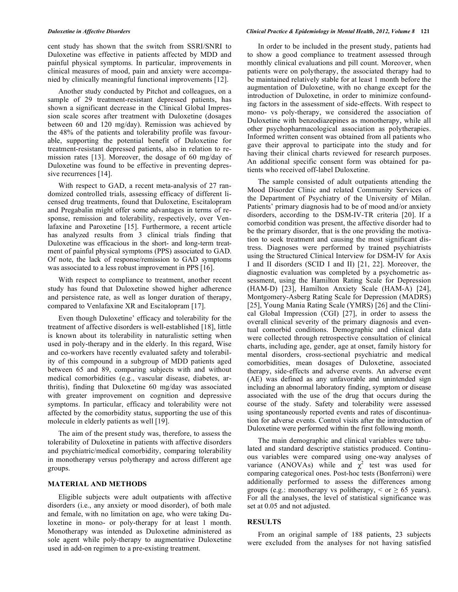cent study has shown that the switch from SSRI/SNRI to Duloxetine was effective in patients affected by MDD and painful physical symptoms. In particular, improvements in clinical measures of mood, pain and anxiety were accompanied by clinically meaningful functional improvements [12].

Another study conducted by Pitchot and colleagues, on a sample of 29 treatment-resistant depressed patients, has shown a significant decrease in the Clinical Global Impression scale scores after treatment with Duloxetine (dosages between 60 and 120 mg/day). Remission was achieved by the 48% of the patients and tolerability profile was favourable, supporting the potential benefit of Duloxetine for treatment-resistant depressed patients, also in relation to remission rates [13]. Moreover, the dosage of 60 mg/day of Duloxetine was found to be effective in preventing depressive recurrences [14].

With respect to GAD, a recent meta-analysis of 27 randomized controlled trials, assessing efficacy of different licensed drug treatments, found that Duloxetine, Escitalopram and Pregabalin might offer some advantages in terms of response, remission and tolerability, respectively, over Venlafaxine and Paroxetine [15]. Furthermore, a recent article has analyzed results from 3 clinical trials finding that Duloxetine was efficacious in the short- and long-term treatment of painful physical symptoms (PPS) associated to GAD. Of note, the lack of response/remission to GAD symptoms was associated to a less robust improvement in PPS [16].

With respect to compliance to treatment, another recent study has found that Duloxetine showed higher adherence and persistence rate, as well as longer duration of therapy, compared to Venlafaxine XR and Escitalopram [17].

Even though Duloxetine' efficacy and tolerability for the treatment of affective disorders is well-established [18], little is known about its tolerability in naturalistic setting when used in poly-therapy and in the elderly. In this regard, Wise and co-workers have recently evaluated safety and tolerability of this compound in a subgroup of MDD patients aged between 65 and 89, comparing subjects with and without medical comorbidities (e.g., vascular disease, diabetes, arthritis), finding that Duloxetine 60 mg/day was associated with greater improvement on cognition and depressive symptoms. In particular, efficacy and tolerability were not affected by the comorbidity status, supporting the use of this molecule in elderly patients as well [19].

The aim of the present study was, therefore, to assess the tolerability of Duloxetine in patients with affective disorders and psychiatric/medical comorbidity, comparing tolerability in monotherapy versus polytherapy and across different age groups.

### **MATERIAL AND METHODS**

Eligible subjects were adult outpatients with affective disorders (i.e., any anxiety or mood disorder), of both male and female, with no limitation on age, who were taking Duloxetine in mono- or poly-therapy for at least 1 month. Monotherapy was intended as Duloxetine administered as sole agent while poly-therapy to augmentative Duloxetine used in add-on regimen to a pre-existing treatment.

#### *Duloxetine in Affective Disorders Clinical Practice & Epidemiology in Mental Health, 2012, Volume 8* **121**

In order to be included in the present study, patients had to show a good compliance to treatment assessed through monthly clinical evaluations and pill count. Moreover, when patients were on polytherapy, the associated therapy had to be maintained relatively stable for at least 1 month before the augmentation of Duloxetine, with no change except for the introduction of Duloxetine, in order to minimize confounding factors in the assessment of side-effects. With respect to mono- vs poly-therapy, we considered the association of Duloxetine with benzodiazepines as monotherapy, while all other psychopharmacological association as polytherapies. Informed written consent was obtained from all patients who gave their approval to participate into the study and for having their clinical charts reviewed for research purposes. An additional specific consent form was obtained for patients who received off-label Duloxetine.

The sample consisted of adult outpatients attending the Mood Disorder Clinic and related Community Services of the Department of Psychiatry of the University of Milan. Patients' primary diagnosis had to be of mood and/or anxiety disorders, according to the DSM-IV-TR criteria [20]. If a comorbid condition was present, the affective disorder had to be the primary disorder, that is the one providing the motivation to seek treatment and causing the most significant distress. Diagnoses were performed by trained psychiatrists using the Structured Clinical Interview for DSM-IV for Axis I and II disorders (SCID I and II) [21, 22]. Moreover, the diagnostic evaluation was completed by a psychometric assessment, using the Hamilton Rating Scale for Depression (HAM-D) [23], Hamilton Anxiety Scale (HAM-A) [24], Montgomery-Asberg Rating Scale for Depression (MADRS) [25], Young Mania Rating Scale (YMRS) [26] and the Clinical Global Impression (CGI) [27], in order to assess the overall clinical severity of the primary diagnosis and eventual comorbid conditions. Demographic and clinical data were collected through retrospective consultation of clinical charts, including age, gender, age at onset, family history for mental disorders, cross-sectional psychiatric and medical comorbidities, mean dosages of Duloxetine, associated therapy, side-effects and adverse events. An adverse event (AE) was defined as any unfavorable and unintended sign including an abnormal laboratory finding, symptom or disease associated with the use of the drug that occurs during the course of the study. Safety and tolerability were assessed using spontaneously reported events and rates of discontinuation for adverse events. Control visits after the introduction of Duloxetine were performed within the first following month.

The main demographic and clinical variables were tabulated and standard descriptive statistics produced. Continuous variables were compared using one-way analyses of variance (ANOVAs) while and  $\chi^2$  test was used for comparing categorical ones. Post-hoc tests (Bonferroni) were additionally performed to assess the differences among groups (e.g.: monotherapy vs politherapy,  $\le$  or  $\ge$  65 years). For all the analyses, the level of statistical significance was set at 0.05 and not adjusted.

#### **RESULTS**

From an original sample of 188 patients, 23 subjects were excluded from the analyses for not having satisfied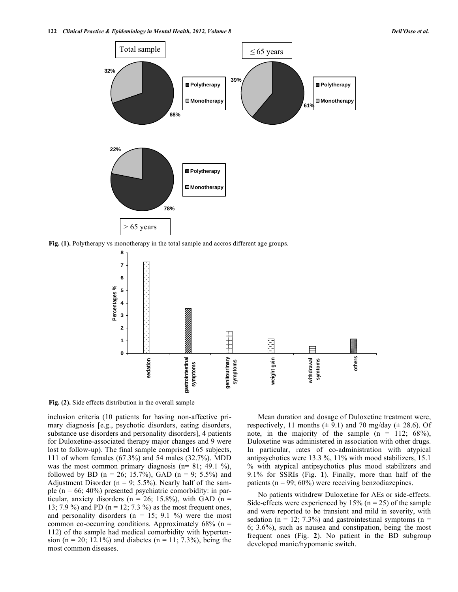

**Fig. (1).** Polytherapy vs monotherapy in the total sample and accros different age groups.



**Fig. (2).** Side effects distribution in the overall sample

inclusion criteria (10 patients for having non-affective primary diagnosis [e.g., psychotic disorders, eating disorders, substance use disorders and personality disorders], 4 patients for Duloxetine-associated therapy major changes and 9 were lost to follow-up). The final sample comprised 165 subjects, 111 of whom females (67.3%) and 54 males (32.7%). MDD was the most common primary diagnosis ( $n= 81$ ; 49.1 %), followed by BD (n = 26; 15.7%), GAD (n = 9; 5.5%) and Adjustment Disorder ( $n = 9$ ; 5.5%). Nearly half of the sample ( $n = 66$ ; 40%) presented psychiatric comorbidity: in particular, anxiety disorders ( $n = 26$ ; 15.8%), with GAD ( $n =$ 13; 7.9 %) and PD ( $n = 12$ ; 7.3 %) as the most frequent ones, and personality disorders ( $n = 15$ ; 9.1 %) were the most common co-occurring conditions. Approximately  $68\%$  (n = 112) of the sample had medical comorbidity with hypertension (n = 20; 12.1%) and diabetes (n = 11; 7.3%), being the most common diseases.

Mean duration and dosage of Duloxetine treatment were, respectively, 11 months  $(\pm 9.1)$  and 70 mg/day  $(\pm 28.6)$ . Of note, in the majority of the sample  $(n = 112; 68\%)$ , Duloxetine was administered in association with other drugs. In particular, rates of co-administration with atypical antipsychotics were 13.3 %, 11% with mood stabilizers, 15.1 % with atypical antipsychotics plus mood stabilizers and 9.1% for SSRIs (Fig. **1**). Finally, more than half of the patients ( $n = 99$ ; 60%) were receiving benzodiazepines.

No patients withdrew Duloxetine for AEs or side-effects. Side-effects were experienced by 15% ( $n = 25$ ) of the sample and were reported to be transient and mild in severity, with sedation ( $n = 12$ ; 7.3%) and gastrointestinal symptoms ( $n =$ 6; 3.6%), such as nausea and constipation, being the most frequent ones (Fig. **2**). No patient in the BD subgroup developed manic/hypomanic switch.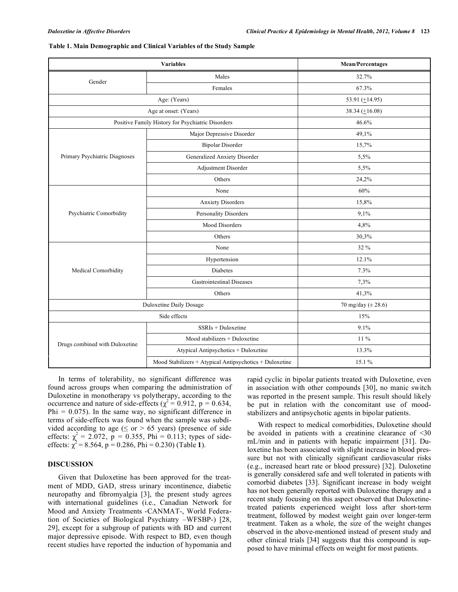|                                                   | <b>Mean/Percentages</b>                                 |       |  |
|---------------------------------------------------|---------------------------------------------------------|-------|--|
| Gender                                            | Males                                                   | 32.7% |  |
|                                                   | Females                                                 | 67.3% |  |
|                                                   | 53.91 $(\pm 14.95)$                                     |       |  |
|                                                   | 38.34 $(\pm 16.08)$                                     |       |  |
| Positive Family History for Psychiatric Disorders | 46.6%                                                   |       |  |
| Primary Psychiatric Diagnoses                     | Major Depressive Disorder                               | 49,1% |  |
|                                                   | <b>Bipolar Disorder</b>                                 | 15,7% |  |
|                                                   | Generalized Anxiety Disorder                            | 5,5%  |  |
|                                                   | Adjustment Disorder                                     | 5,5%  |  |
|                                                   | Others                                                  | 24,2% |  |
| Psychiatric Comorbidity                           | None                                                    | 60%   |  |
|                                                   | <b>Anxiety Disorders</b>                                | 15,8% |  |
|                                                   | Personality Disorders                                   | 9,1%  |  |
|                                                   | <b>Mood Disorders</b>                                   | 4,8%  |  |
|                                                   | Others                                                  | 30,3% |  |
|                                                   | None                                                    | 32 %  |  |
| Medical Comorbidity                               | Hypertension                                            | 12.1% |  |
|                                                   | <b>Diabetes</b>                                         | 7.3%  |  |
|                                                   | Gastrointestinal Diseases                               | 7,3%  |  |
|                                                   | Others                                                  | 41,3% |  |
| Duloxetine Daily Dosage                           | 70 mg/day ( $\pm 28.6$ )                                |       |  |
|                                                   | 15%                                                     |       |  |
| Drugs combined with Duloxetine                    | SSRIs + Duloxetine                                      | 9.1%  |  |
|                                                   | Mood stabilizers + Duloxetine                           | 11 %  |  |
|                                                   | Atypical Antipsychotics + Duloxetine                    | 13.3% |  |
|                                                   | Mood Stabilizers + Atypical Antipsychotics + Duloxetine | 15.1% |  |

|  | Table 1. Main Demographic and Clinical Variables of the Study Sample |  |  |
|--|----------------------------------------------------------------------|--|--|
|  |                                                                      |  |  |

In terms of tolerability, no significant difference was found across groups when comparing the administration of Duloxetine in monotherapy vs polytherapy, according to the occurrence and nature of side-effects ( $\chi^2 = 0.912$ , p = 0.634,  $Phi = 0.075$ ). In the same way, no significant difference in terms of side-effects was found when the sample was subdivided according to age ( $\leq$  or  $>$  65 years) (presence of side effects:  $\chi^2 = 2.072$ ,  $p = 0.355$ , Phi = 0.113; types of sideeffects:  $\chi^2 = 8.564$ , p = 0.286, Phi = 0.230) (Table 1).

## **DISCUSSION**

Given that Duloxetine has been approved for the treatment of MDD, GAD, stress urinary incontinence, diabetic neuropathy and fibromyalgia [3], the present study agrees with international guidelines (i.e., Canadian Network for Mood and Anxiety Treatments -CANMAT-, World Federation of Societies of Biological Psychiatry –WFSBP-) [28, 29], except for a subgroup of patients with BD and current major depressive episode. With respect to BD, even though recent studies have reported the induction of hypomania and rapid cyclic in bipolar patients treated with Duloxetine, even in association with other compounds [30], no manic switch was reported in the present sample. This result should likely be put in relation with the concomitant use of moodstabilizers and antipsychotic agents in bipolar patients.

With respect to medical comorbidities, Duloxetine should be avoided in patients with a creatinine clearance of <30 mL/min and in patients with hepatic impairment [31]. Duloxetine has been associated with slight increase in blood pressure but not with clinically significant cardiovascular risks (e.g., increased heart rate or blood pressure) [32]. Duloxetine is generally considered safe and well tolerated in patients with comorbid diabetes [33]. Significant increase in body weight has not been generally reported with Duloxetine therapy and a recent study focusing on this aspect observed that Duloxetinetreated patients experienced weight loss after short-term treatment, followed by modest weight gain over longer-term treatment. Taken as a whole, the size of the weight changes observed in the above-mentioned instead of present study and other clinical trials [34] suggests that this compound is supposed to have minimal effects on weight for most patients.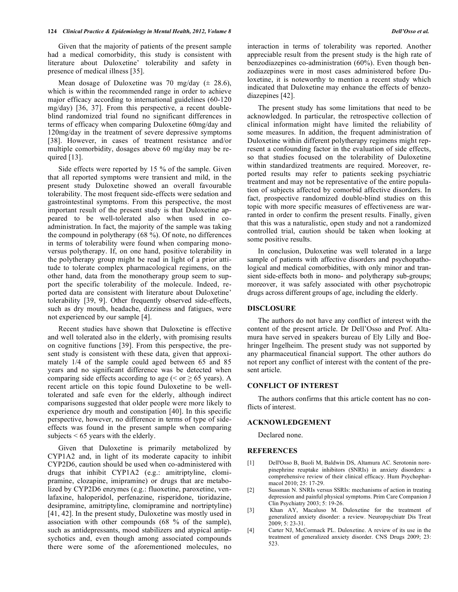Given that the majority of patients of the present sample had a medical comorbidity, this study is consistent with literature about Duloxetine' tolerability and safety in presence of medical illness [35].

Mean dosage of Duloxetine was 70 mg/day  $(\pm 28.6)$ , which is within the recommended range in order to achieve major efficacy according to international guidelines (60-120 mg/day) [36, 37]. From this perspective, a recent doubleblind randomized trial found no significant differences in terms of efficacy when comparing Duloxetine 60mg/day and 120mg/day in the treatment of severe depressive symptoms [38]. However, in cases of treatment resistance and/or multiple comorbidity, dosages above 60 mg/day may be required  $[13]$ .

Side effects were reported by 15 % of the sample. Given that all reported symptoms were transient and mild, in the present study Duloxetine showed an overall favourable tolerability. The most frequent side-effects were sedation and gastrointestinal symptoms. From this perspective, the most important result of the present study is that Duloxetine appeared to be well-tolerated also when used in coadministration. In fact, the majority of the sample was taking the compound in polytherapy (68 %). Of note, no differences in terms of tolerability were found when comparing monoversus polytherapy. If, on one hand, positive tolerability in the polytherapy group might be read in light of a prior attitude to tolerate complex pharmacological regimens, on the other hand, data from the monotherapy group seem to support the specific tolerability of the molecule. Indeed, reported data are consistent with literature about Duloxetine' tolerability [39, 9]. Other frequently observed side-effects, such as dry mouth, headache, dizziness and fatigues, were not experienced by our sample [4].

Recent studies have shown that Duloxetine is effective and well tolerated also in the elderly, with promising results on cognitive functions [39]. From this perspective, the present study is consistent with these data, given that approximately 1/4 of the sample could aged between 65 and 85 years and no significant difference was be detected when comparing side effects according to age ( $\le$  or  $\ge$  65 years). A recent article on this topic found Duloxetine to be welltolerated and safe even for the elderly, although indirect comparisons suggested that older people were more likely to experience dry mouth and constipation [40]. In this specific perspective, however, no difference in terms of type of sideeffects was found in the present sample when comparing subjects  $< 65$  years with the elderly.

Given that Duloxetine is primarily metabolized by CYP1A2 and, in light of its moderate capacity to inhibit CYP2D6, caution should be used when co-administered with drugs that inhibit CYP1A2 (e.g.: amitriptyline, clomipramine, clozapine, imipramine) or drugs that are metabolized by CYP2D6 enzymes (e.g.: fluoxetine, paroxetine, venlafaxine, haloperidol, perfenazine, risperidone, tioridazine, desipramine, amitriptyline, clomipramine and nortriptyline) [41, 42]. In the present study, Duloxetine was mostly used in association with other compounds (68 % of the sample), such as antidepressants, mood stabilizers and atypical antipsychotics and, even though among associated compounds there were some of the aforementioned molecules, no interaction in terms of tolerability was reported. Another appreciable result from the present study is the high rate of benzodiazepines co-administration (60%). Even though benzodiazepines were in most cases administered before Duloxetine, it is noteworthy to mention a recent study which indicated that Duloxetine may enhance the effects of benzodiazepines [42].

The present study has some limitations that need to be acknowledged. In particular, the retrospective collection of clinical information might have limited the reliability of some measures. In addition, the frequent administration of Duloxetine within different polytherapy regimens might represent a confounding factor in the evaluation of side effects, so that studies focused on the tolerability of Duloxetine within standardized treatments are required. Moreover, reported results may refer to patients seeking psychiatric treatment and may not be representative of the entire population of subjects affected by comorbid affective disorders. In fact, prospective randomized double-blind studies on this topic with more specific measures of effectiveness are warranted in order to confirm the present results. Finally, given that this was a naturalistic, open study and not a randomized controlled trial, caution should be taken when looking at some positive results.

In conclusion, Duloxetine was well tolerated in a large sample of patients with affective disorders and psychopathological and medical comorbidities, with only minor and transient side-effects both in mono- and polytherapy sub-groups; moreover, it was safely associated with other psychotropic drugs across different groups of age, including the elderly.

## **DISCLOSURE**

The authors do not have any conflict of interest with the content of the present article. Dr Dell'Osso and Prof. Altamura have served in speakers bureau of Ely Lilly and Boehringer Ingelheim. The present study was not supported by any pharmaceutical financial support. The other authors do not report any conflict of interest with the content of the present article.

## **CONFLICT OF INTEREST**

The authors confirms that this article content has no conflicts of interest.

#### **ACKNOWLEDGEMENT**

Declared none.

#### **REFERENCES**

- [1] Dell'Osso B, Buoli M, Baldwin DS, Altamura AC. Serotonin norepinephrine reuptake inhibitors (SNRIs) in anxiety disorders: a comprehensive review of their clinical efficacy. Hum Psychopharmacol 2010; 25: 17-29.
- [2] Sussman N. SNRIs versus SSRIs: mechanisms of action in treating depression and painful physical symptoms. Prim Care Companion J Clin Psychiatry 2003; 5: 19-26.
- [3] Khan AY, Macaluso M. Duloxetine for the treatment of generalized anxiety disorder: a review. Neuropsychiatr Dis Treat 2009; 5: 23-31.
- [4] Carter NJ, McCormack PL. Duloxetine. A review of its use in the treatment of generalized anxiety disorder. CNS Drugs 2009; 23: 523.